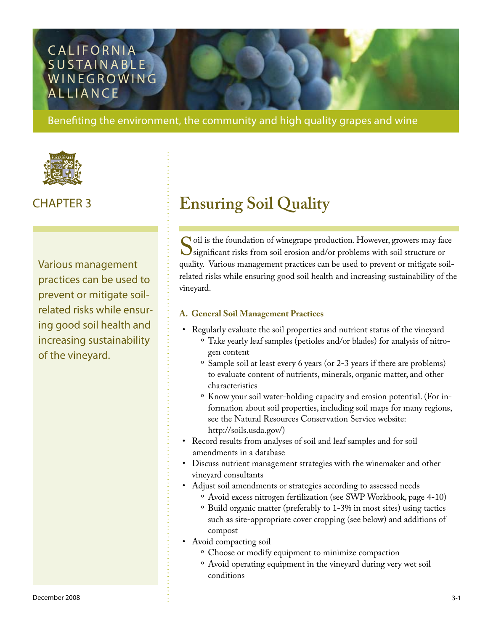### **CALIFORNIA** SUSTAINABLE **WINEGROWING ALLIANCE**

Benefiting the environment, the community and high quality grapes and wine



Various management practices can be used to prevent or mitigate soilrelated risks while ensuring good soil health and increasing sustainability of the vineyard.

## CHAPTER 3 **Ensuring Soil Quality**

Soil is the foundation of winegrape production. However, growers may face<br>
Significant risks from soil erosion and/or problems with soil structure or<br>
quality Various management practices can be used to prevent or mitigate significant risks from soil erosion and/or problems with soil structure or quality. Various management practices can be used to prevent or mitigate soilrelated risks while ensuring good soil health and increasing sustainability of the vineyard.

#### **A. General Soil Management Practices**

•

- Regularly evaluate the soil properties and nutrient status of the vineyard  $\rm^o$  Take yearly leaf samples (petioles and/or blades) for analysis of nitrogen content
	- <sup>o</sup> Sample soil at least every 6 years (or 2-3 years if there are problems) to evaluate content of nutrients, minerals, organic matter, and other characteristics
	- ° Know your soil water-holding capacity and erosion potential. (For information about soil properties, including soil maps for many regions, see the Natural Resources Conservation Service website: <http://soils.usda.gov/>)
- Record results from analyses of soil and leaf samples and for soil amendments in a database
- Discuss nutrient management strategies with the winemaker and other vineyard consultants
- Adjust soil amendments or strategies according to assessed needs
	- Avoid excess nitrogen fertilization (see SWP Workbook, page 4-10) º
	- <sup>o</sup> Build organic matter (preferably to 1-3% in most sites) using tactics such as site-appropriate cover cropping (see below) and additions of compost
- Avoid compacting soil
	- <sup>o</sup> Choose or modify equipment to minimize compaction
	- Avoid operating equipment in the vineyard during very wet soil ºconditions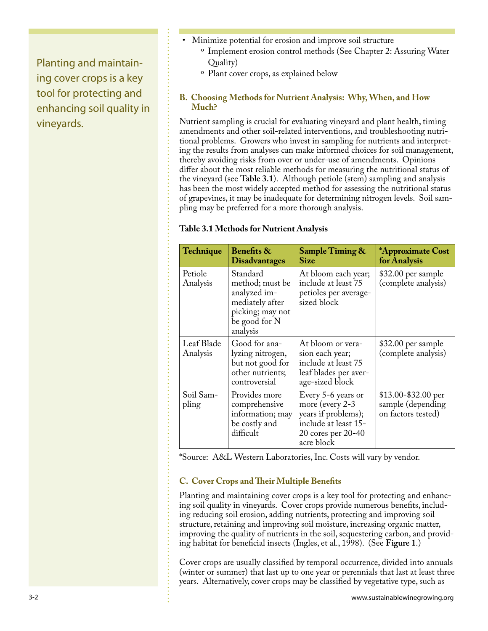Planting and maintaining cover crops is a key tool for protecting and enhancing soil quality in vineyards.

- Minimize potential for erosion and improve soil structure •
	- <sup>o</sup> Implement erosion control methods (See Chapter 2: Assuring Water Quality)
	- <sup>o</sup> Plant cover crops, as explained below

#### **B. Choosing Methods for Nutrient Analysis: Why, When, and How Much?**

Nutrient sampling is crucial for evaluating vineyard and plant health, timing amendments and other soil-related interventions, and troubleshooting nutritional problems. Growers who invest in sampling for nutrients and interpreting the results from analyses can make informed choices for soil management, thereby avoiding risks from over or under-use of amendments. Opinions differ about the most reliable methods for measuring the nutritional status of the vineyard (see **Table 3.1**). Although petiole (stem) sampling and analysis has been the most widely accepted method for assessing the nutritional status of grapevines, it may be inadequate for determining nitrogen levels. Soil sampling may be preferred for a more thorough analysis.

#### **Table 3.1 Methods for Nutrient Analysis**

| <b>Technique</b>       | <b>Benefits &amp;</b><br><b>Disadvantages</b>                                                                   | <b>Sample Timing &amp;</b><br>Size                                                                                       | *Approximate Cost<br>for Analysis                               |
|------------------------|-----------------------------------------------------------------------------------------------------------------|--------------------------------------------------------------------------------------------------------------------------|-----------------------------------------------------------------|
| Petiole<br>Analysis    | Standard<br>method; must be<br>analyzed im-<br>mediately after<br>picking; may not<br>be good for N<br>analysis | At bloom each year;<br>include at least 75<br>petioles per average-<br>sized block                                       | \$32.00 per sample<br>(complete analysis)                       |
| Leaf Blade<br>Analysis | Good for ana-<br>lyzing nitrogen,<br>but not good for<br>other nutrients;<br>controversial                      | At bloom or vera-<br>sion each year;<br>include at least 75<br>leaf blades per aver-<br>age-sized block                  | \$32.00 per sample<br>(complete analysis)                       |
| Soil Sam-<br>pling     | Provides more<br>comprehensive<br>information; may<br>be costly and<br>difficult                                | Every 5-6 years or<br>more (every 2-3<br>years if problems);<br>include at least 15-<br>20 cores per 20-40<br>acre block | $$13.00-\$32.00$ per<br>sample (depending<br>on factors tested) |

\*Source: A&L Western Laboratories, Inc. Costs will vary by vendor.

#### **C. Cover Crops and Their Multiple Benefits**

Planting and maintaining cover crops is a key tool for protecting and enhancing soil quality in vineyards. Cover crops provide numerous benefits, including reducing soil erosion, adding nutrients, protecting and improving soil structure, retaining and improving soil moisture, increasing organic matter, improving the quality of nutrients in the soil, sequestering carbon, and providing habitat for beneficial insects (Ingles, et al., 1998). (See **Figure 1**.)

Cover crops are usually classified by temporal occurrence, divided into annuals (winter or summer) that last up to one year or perennials that last at least three years. Alternatively, cover crops may be classified by vegetative type, such as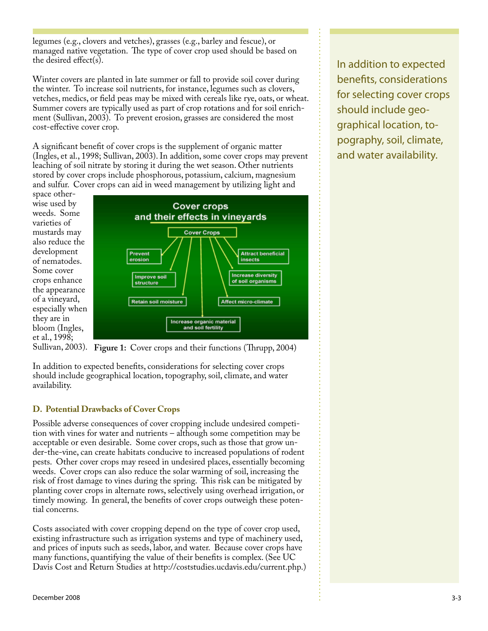legumes (e.g., clovers and vetches), grasses (e.g., barley and fescue), or managed native vegetation. The type of cover crop used should be based on the desired effect(s).

Winter covers are planted in late summer or fall to provide soil cover during the winter. To increase soil nutrients, for instance, legumes such as clovers, vetches, medics, or field peas may be mixed with cereals like rye, oats, or wheat. Summer covers are typically used as part of crop rotations and for soil enrichment (Sullivan, 2003). To prevent erosion, grasses are considered the most cost-effective cover crop.

A significant benefit of cover crops is the supplement of organic matter (Ingles, et al., 1998; Sullivan, 2003). In addition, some cover crops may prevent leaching of soil nitrate by storing it during the wet season. Other nutrients stored by cover crops include phosphorous, potassium, calcium, magnesium and sulfur. Cover crops can aid in weed management by utilizing light and

space otherwise used by weeds. Some varieties of mustards may also reduce the development of nematodes. Some cover crops enhance the appearance of a vineyard, especially when they are in bloom (Ingles, et al., 1998;



Sullivan, 2003). **Figure 1:** Cover crops and their functions (Thrupp, 2004)

In addition to expected benefits, considerations for selecting cover crops should include geographical location, topography, soil, climate, and water availability.

#### **D. Potential Drawbacks of Cover Crops**

Possible adverse consequences of cover cropping include undesired competition with vines for water and nutrients – although some competition may be acceptable or even desirable. Some cover crops, such as those that grow under-the-vine, can create habitats conducive to increased populations of rodent pests. Other cover crops may reseed in undesired places, essentially becoming weeds. Cover crops can also reduce the solar warming of soil, increasing the risk of frost damage to vines during the spring. This risk can be mitigated by planting cover crops in alternate rows, selectively using overhead irrigation, or timely mowing. In general, the benefits of cover crops outweigh these potential concerns.

Costs associated with cover cropping depend on the type of cover crop used, existing infrastructure such as irrigation systems and type of machinery used, and prices of inputs such as seeds, labor, and water. Because cover crops have many functions, quantifying the value of their benefits is complex. (See UC Davis Cost and Return Studies at [http://coststudies.ucdavis.edu/current.php.](http://coststudies.ucdavis.edu/current.php))

In addition to expected benefits, considerations for selecting cover crops should include geographical location, topography, soil, climate, and water availability.